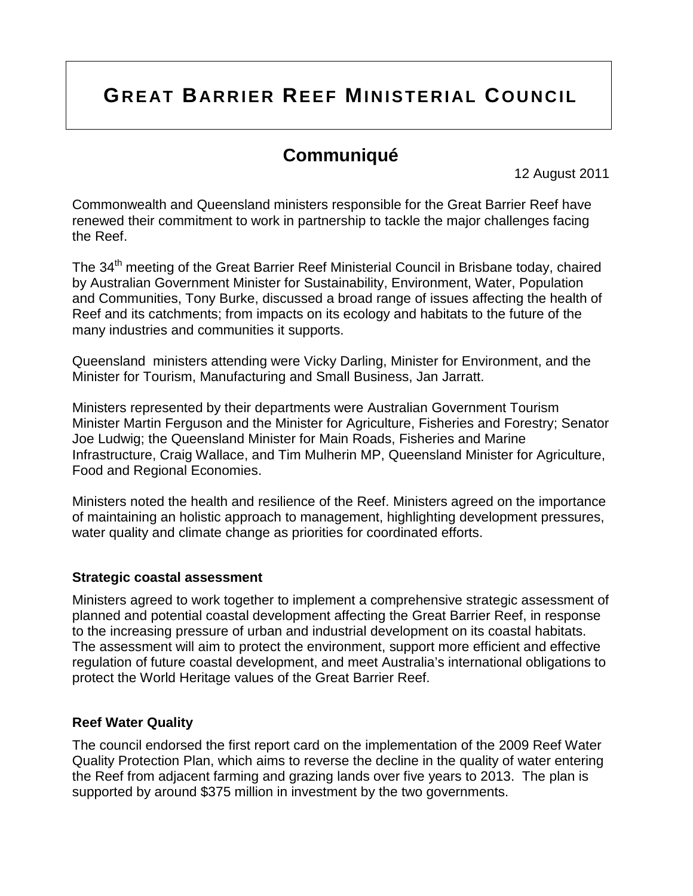# **GREAT BARRIER REEF MINISTERIAL COUNCIL**

## **Communiqué**

12 August 2011

Commonwealth and Queensland ministers responsible for the Great Barrier Reef have renewed their commitment to work in partnership to tackle the major challenges facing the Reef.

The 34<sup>th</sup> meeting of the Great Barrier Reef Ministerial Council in Brisbane today, chaired by Australian Government Minister for Sustainability, Environment, Water, Population and Communities, Tony Burke, discussed a broad range of issues affecting the health of Reef and its catchments; from impacts on its ecology and habitats to the future of the many industries and communities it supports.

Queensland ministers attending were Vicky Darling, Minister for Environment, and the Minister for Tourism, Manufacturing and Small Business, Jan Jarratt.

Ministers represented by their departments were Australian Government Tourism Minister Martin Ferguson and the Minister for Agriculture, Fisheries and Forestry; Senator Joe Ludwig; the Queensland Minister for Main Roads, Fisheries and Marine Infrastructure, Craig Wallace, and Tim Mulherin MP, Queensland Minister for Agriculture, Food and Regional Economies.

Ministers noted the health and resilience of the Reef. Ministers agreed on the importance of maintaining an holistic approach to management, highlighting development pressures, water quality and climate change as priorities for coordinated efforts.

#### **Strategic coastal assessment**

Ministers agreed to work together to implement a comprehensive strategic assessment of planned and potential coastal development affecting the Great Barrier Reef, in response to the increasing pressure of urban and industrial development on its coastal habitats. The assessment will aim to protect the environment, support more efficient and effective regulation of future coastal development, and meet Australia's international obligations to protect the World Heritage values of the Great Barrier Reef.

#### **Reef Water Quality**

The council endorsed the first report card on the implementation of the 2009 Reef Water Quality Protection Plan, which aims to reverse the decline in the quality of water entering the Reef from adjacent farming and grazing lands over five years to 2013. The plan is supported by around \$375 million in investment by the two governments.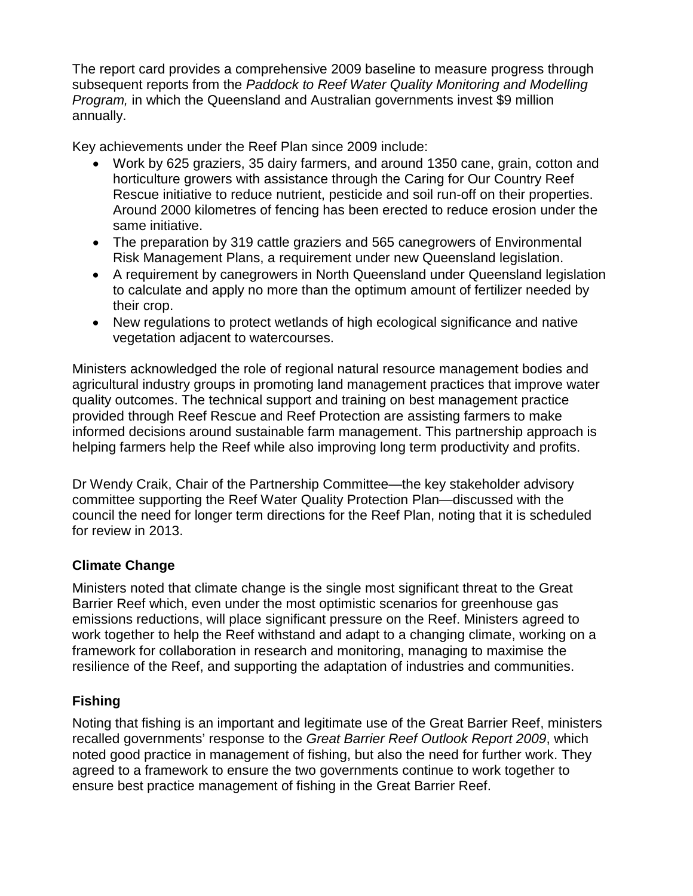The report card provides a comprehensive 2009 baseline to measure progress through subsequent reports from the *Paddock to Reef Water Quality Monitoring and Modelling Program,* in which the Queensland and Australian governments invest \$9 million annually.

Key achievements under the Reef Plan since 2009 include:

- Work by 625 graziers, 35 dairy farmers, and around 1350 cane, grain, cotton and horticulture growers with assistance through the Caring for Our Country Reef Rescue initiative to reduce nutrient, pesticide and soil run-off on their properties. Around 2000 kilometres of fencing has been erected to reduce erosion under the same initiative.
- The preparation by 319 cattle graziers and 565 canegrowers of Environmental Risk Management Plans, a requirement under new Queensland legislation.
- A requirement by canegrowers in North Queensland under Queensland legislation to calculate and apply no more than the optimum amount of fertilizer needed by their crop.
- New regulations to protect wetlands of high ecological significance and native vegetation adjacent to watercourses.

Ministers acknowledged the role of regional natural resource management bodies and agricultural industry groups in promoting land management practices that improve water quality outcomes. The technical support and training on best management practice provided through Reef Rescue and Reef Protection are assisting farmers to make informed decisions around sustainable farm management. This partnership approach is helping farmers help the Reef while also improving long term productivity and profits.

Dr Wendy Craik, Chair of the Partnership Committee—the key stakeholder advisory committee supporting the Reef Water Quality Protection Plan—discussed with the council the need for longer term directions for the Reef Plan, noting that it is scheduled for review in 2013.

## **Climate Change**

Ministers noted that climate change is the single most significant threat to the Great Barrier Reef which, even under the most optimistic scenarios for greenhouse gas emissions reductions, will place significant pressure on the Reef. Ministers agreed to work together to help the Reef withstand and adapt to a changing climate, working on a framework for collaboration in research and monitoring, managing to maximise the resilience of the Reef, and supporting the adaptation of industries and communities.

## **Fishing**

Noting that fishing is an important and legitimate use of the Great Barrier Reef, ministers recalled governments' response to the *Great Barrier Reef Outlook Report 2009*, which noted good practice in management of fishing, but also the need for further work. They agreed to a framework to ensure the two governments continue to work together to ensure best practice management of fishing in the Great Barrier Reef.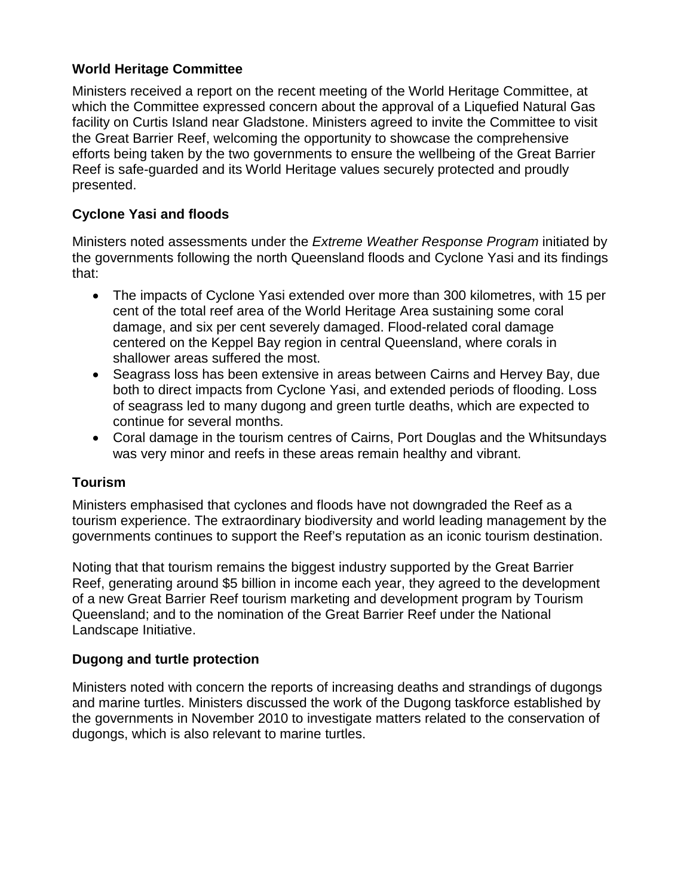## **World Heritage Committee**

Ministers received a report on the recent meeting of the World Heritage Committee, at which the Committee expressed concern about the approval of a Liquefied Natural Gas facility on Curtis Island near Gladstone. Ministers agreed to invite the Committee to visit the Great Barrier Reef, welcoming the opportunity to showcase the comprehensive efforts being taken by the two governments to ensure the wellbeing of the Great Barrier Reef is safe-guarded and its World Heritage values securely protected and proudly presented.

## **Cyclone Yasi and floods**

Ministers noted assessments under the *Extreme Weather Response Program* initiated by the governments following the north Queensland floods and Cyclone Yasi and its findings that:

- The impacts of Cyclone Yasi extended over more than 300 kilometres, with 15 per cent of the total reef area of the World Heritage Area sustaining some coral damage, and six per cent severely damaged. Flood-related coral damage centered on the Keppel Bay region in central Queensland, where corals in shallower areas suffered the most.
- Seagrass loss has been extensive in areas between Cairns and Hervey Bay, due both to direct impacts from Cyclone Yasi, and extended periods of flooding. Loss of seagrass led to many dugong and green turtle deaths, which are expected to continue for several months.
- Coral damage in the tourism centres of Cairns, Port Douglas and the Whitsundays was very minor and reefs in these areas remain healthy and vibrant.

## **Tourism**

Ministers emphasised that cyclones and floods have not downgraded the Reef as a tourism experience. The extraordinary biodiversity and world leading management by the governments continues to support the Reef's reputation as an iconic tourism destination.

Noting that that tourism remains the biggest industry supported by the Great Barrier Reef, generating around \$5 billion in income each year, they agreed to the development of a new Great Barrier Reef tourism marketing and development program by Tourism Queensland; and to the nomination of the Great Barrier Reef under the National Landscape Initiative.

## **Dugong and turtle protection**

Ministers noted with concern the reports of increasing deaths and strandings of dugongs and marine turtles. Ministers discussed the work of the Dugong taskforce established by the governments in November 2010 to investigate matters related to the conservation of dugongs, which is also relevant to marine turtles.